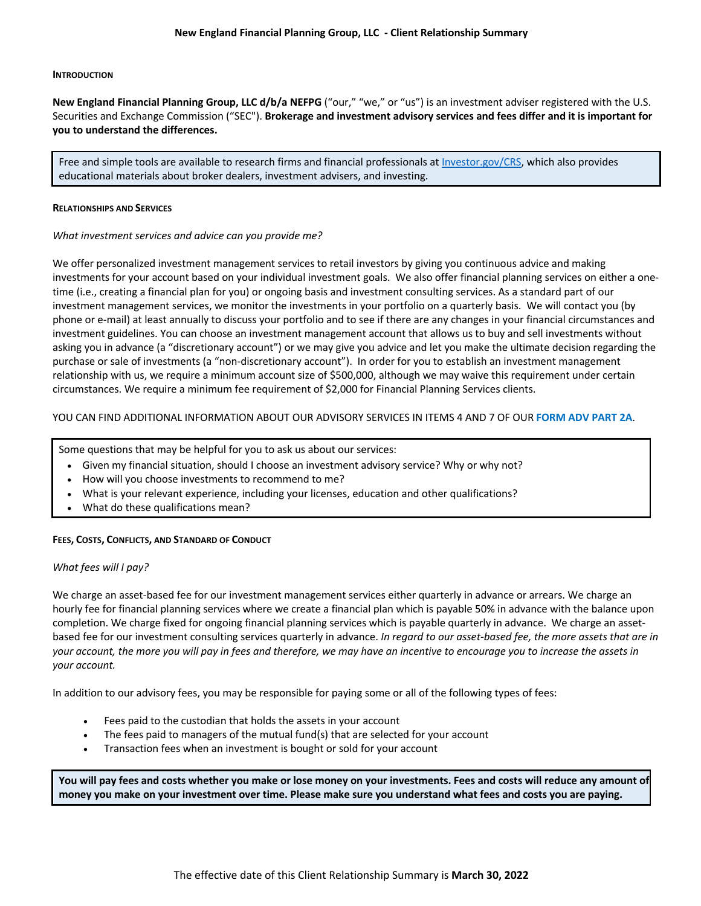#### **INTRODUCTION**

**New England Financial Planning Group, LLC d/b/a NEFPG** ("our," "we," or "us") is an investment adviser registered with the U.S. Securities and Exchange Commission ("SEC"). **Brokerage and investment advisory services and fees differ and it is important for you to understand the differences.**

Free and simple tools are available to research firms and financial professionals at [Investor.gov/CRS,](https://www.investor.gov/CRS) which also provides educational materials about broker dealers, investment advisers, and investing.

#### **RELATIONSHIPS AND SERVICES**

*What investment services and advice can you provide me?* 

We offer personalized investment management services to retail investors by giving you continuous advice and making investments for your account based on your individual investment goals. We also offer financial planning services on either a onetime (i.e., creating a financial plan for you) or ongoing basis and investment consulting services. As a standard part of our investment management services, we monitor the investments in your portfolio on a quarterly basis. We will contact you (by phone or e-mail) at least annually to discuss your portfolio and to see if there are any changes in your financial circumstances and investment guidelines. You can choose an investment management account that allows us to buy and sell investments without asking you in advance (a "discretionary account") or we may give you advice and let you make the ultimate decision regarding the purchase or sale of investments (a "non-discretionary account"). In order for you to establish an investment management relationship with us, we require a minimum account size of \$500,000, although we may waive this requirement under certain circumstances. We require a minimum fee requirement of \$2,000 for Financial Planning Services clients.

## YOU CAN FIND ADDITIONAL INFORMATION ABOUT OUR ADVISORY SERVICES IN ITEMS 4 AND 7 OF OUR **[FORM ADV PART 2A](https://files.adviserinfo.sec.gov/IAPD/Content/Common/crd_iapd_Brochure.aspx?BRCHR_VRSN_ID=766100)**.

Some questions that may be helpful for you to ask us about our services:

- Given my financial situation, should I choose an investment advisory service? Why or why not?
- How will you choose investments to recommend to me?
- What is your relevant experience, including your licenses, education and other qualifications?
- What do these qualifications mean?

### **FEES, COSTS, CONFLICTS, AND STANDARD OF CONDUCT**

### *What fees will I pay?*

We charge an asset-based fee for our investment management services either quarterly in advance or arrears. We charge an hourly fee for financial planning services where we create a financial plan which is payable 50% in advance with the balance upon completion. We charge fixed for ongoing financial planning services which is payable quarterly in advance. We charge an assetbased fee for our investment consulting services quarterly in advance. *In regard to our asset-based fee, the more assets that are in your account, the more you will pay in fees and therefore, we may have an incentive to encourage you to increase the assets in your account.*

In addition to our advisory fees, you may be responsible for paying some or all of the following types of fees:

- Fees paid to the custodian that holds the assets in your account
- The fees paid to managers of the mutual fund(s) that are selected for your account
- Transaction fees when an investment is bought or sold for your account

**You will pay fees and costs whether you make or lose money on your investments. Fees and costs will reduce any amount of money you make on your investment over time. Please make sure you understand what fees and costs you are paying.**